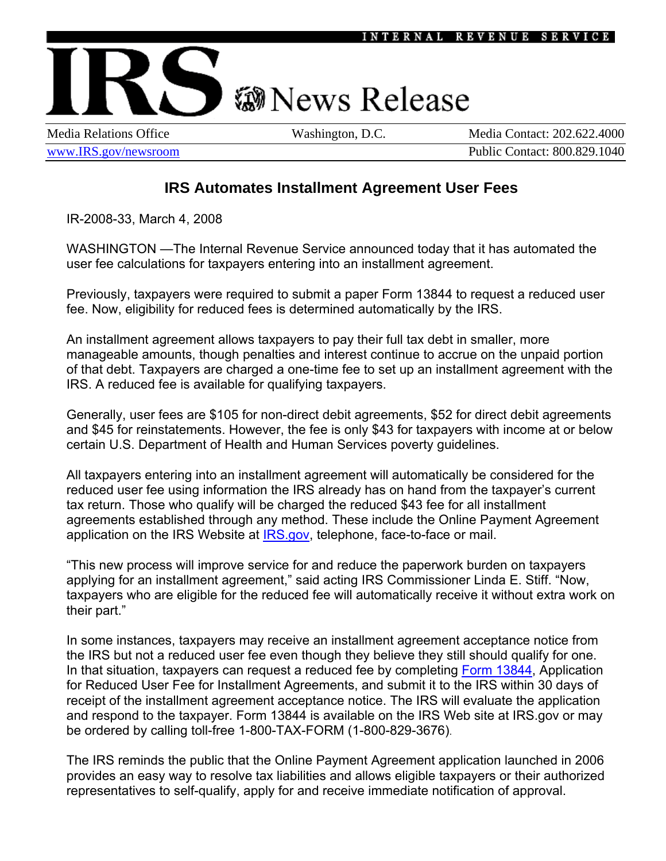



Media Relations Office Washington, D.C. Media Contact: 202.622.4000 [www.IRS.gov/newsroom](http://www.irs.gov/newsroom/index.html) Public Contact: 800.829.1040

## **IRS Automates Installment Agreement User Fees**

IR-2008-33, March 4, 2008

WASHINGTON —The Internal Revenue Service announced today that it has automated the user fee calculations for taxpayers entering into an installment agreement.

Previously, taxpayers were required to submit a paper Form 13844 to request a reduced user fee. Now, eligibility for reduced fees is determined automatically by the IRS.

An installment agreement allows taxpayers to pay their full tax debt in smaller, more manageable amounts, though penalties and interest continue to accrue on the unpaid portion of that debt. Taxpayers are charged a one-time fee to set up an installment agreement with the IRS. A reduced fee is available for qualifying taxpayers.

Generally, user fees are \$105 for non-direct debit agreements, \$52 for direct debit agreements and \$45 for reinstatements. However, the fee is only \$43 for taxpayers with income at or below certain U.S. Department of Health and Human Services poverty guidelines.

All taxpayers entering into an installment agreement will automatically be considered for the reduced user fee using information the IRS already has on hand from the taxpayer's current tax return. Those who qualify will be charged the reduced \$43 fee for all installment agreements established through any method. These include the Online Payment Agreement application on the IRS Website at [IRS.gov,](http://www.irs.gov/) telephone, face-to-face or mail.

"This new process will improve service for and reduce the paperwork burden on taxpayers applying for an installment agreement," said acting IRS Commissioner Linda E. Stiff. "Now, taxpayers who are eligible for the reduced fee will automatically receive it without extra work on their part."

In some instances, taxpayers may receive an installment agreement acceptance notice from the IRS but not a reduced user fee even though they believe they still should qualify for one. In that situation, taxpayers can request a reduced fee by completing [Form 13844](http://www.irs.gov/pub/irs-pdf/f13844.pdf), Application for Reduced User Fee for Installment Agreements, and submit it to the IRS within 30 days of receipt of the installment agreement acceptance notice. The IRS will evaluate the application and respond to the taxpayer. Form 13844 is available on the IRS Web site at IRS.gov or may be ordered by calling toll-free 1-800-TAX-FORM (1-800-829-3676).

The IRS reminds the public that the Online Payment Agreement application launched in 2006 provides an easy way to resolve tax liabilities and allows eligible taxpayers or their authorized representatives to self-qualify, apply for and receive immediate notification of approval.